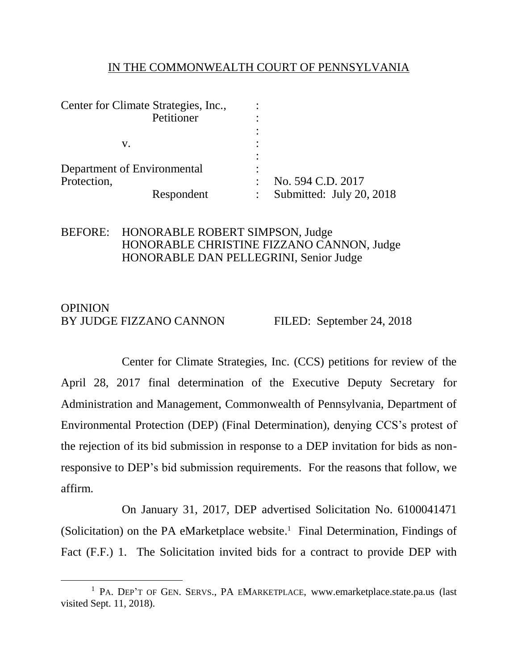#### IN THE COMMONWEALTH COURT OF PENNSYLVANIA

| Center for Climate Strategies, Inc., | ٠                        |
|--------------------------------------|--------------------------|
| Petitioner                           |                          |
|                                      |                          |
| v.                                   |                          |
|                                      |                          |
| Department of Environmental          |                          |
| Protection,                          | No. 594 C.D. 2017        |
| Respondent                           | Submitted: July 20, 2018 |

#### BEFORE: HONORABLE ROBERT SIMPSON, Judge HONORABLE CHRISTINE FIZZANO CANNON, Judge HONORABLE DAN PELLEGRINI, Senior Judge

#### **OPINION** BY JUDGE FIZZANO CANNON FILED: September 24, 2018

Center for Climate Strategies, Inc. (CCS) petitions for review of the April 28, 2017 final determination of the Executive Deputy Secretary for Administration and Management, Commonwealth of Pennsylvania, Department of Environmental Protection (DEP) (Final Determination), denying CCS's protest of the rejection of its bid submission in response to a DEP invitation for bids as nonresponsive to DEP's bid submission requirements. For the reasons that follow, we affirm.

On January 31, 2017, DEP advertised Solicitation No. 6100041471 (Solicitation) on the PA eMarketplace website. 1 Final Determination, Findings of Fact (F.F.) 1. The Solicitation invited bids for a contract to provide DEP with

<sup>&</sup>lt;sup>1</sup> PA. DEP'T OF GEN. SERVS., PA EMARKETPLACE, www.emarketplace.state.pa.us (last visited Sept. 11, 2018).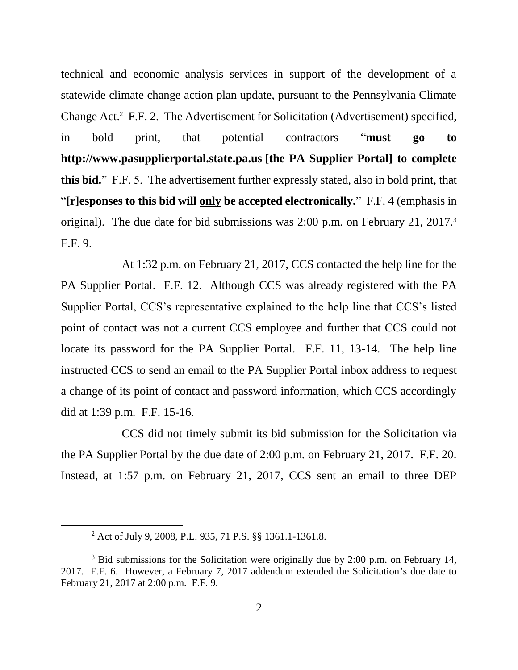technical and economic analysis services in support of the development of a statewide climate change action plan update, pursuant to the Pennsylvania Climate Change Act.<sup>2</sup> F.F. 2. The Advertisement for Solicitation (Advertisement) specified, in bold print, that potential contractors "**must go to http://www.pasupplierportal.state.pa.us [the PA Supplier Portal] to complete this bid.**" F.F. 5. The advertisement further expressly stated, also in bold print, that "**[r]esponses to this bid will only be accepted electronically.**" F.F. 4 (emphasis in original). The due date for bid submissions was 2:00 p.m. on February 21, 2017.<sup>3</sup> F.F. 9.

At 1:32 p.m. on February 21, 2017, CCS contacted the help line for the PA Supplier Portal. F.F. 12. Although CCS was already registered with the PA Supplier Portal, CCS's representative explained to the help line that CCS's listed point of contact was not a current CCS employee and further that CCS could not locate its password for the PA Supplier Portal. F.F. 11, 13-14. The help line instructed CCS to send an email to the PA Supplier Portal inbox address to request a change of its point of contact and password information, which CCS accordingly did at 1:39 p.m. F.F. 15-16.

CCS did not timely submit its bid submission for the Solicitation via the PA Supplier Portal by the due date of 2:00 p.m. on February 21, 2017. F.F. 20. Instead, at 1:57 p.m. on February 21, 2017, CCS sent an email to three DEP

<sup>2</sup> Act of July 9, 2008, P.L. 935, 71 P.S. §§ 1361.1-1361.8.

 $3$  Bid submissions for the Solicitation were originally due by 2:00 p.m. on February 14, 2017. F.F. 6. However, a February 7, 2017 addendum extended the Solicitation's due date to February 21, 2017 at 2:00 p.m. F.F. 9.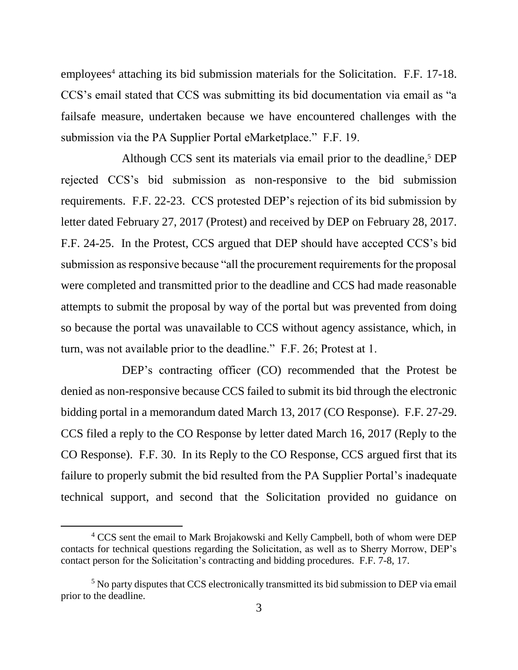$employees<sup>4</sup> attaching its bid submission materials for the Solicitation. F.F. 17-18.$ CCS's email stated that CCS was submitting its bid documentation via email as "a failsafe measure, undertaken because we have encountered challenges with the submission via the PA Supplier Portal eMarketplace." F.F. 19.

Although CCS sent its materials via email prior to the deadline, <sup>5</sup> DEP rejected CCS's bid submission as non-responsive to the bid submission requirements. F.F. 22-23. CCS protested DEP's rejection of its bid submission by letter dated February 27, 2017 (Protest) and received by DEP on February 28, 2017. F.F. 24-25. In the Protest, CCS argued that DEP should have accepted CCS's bid submission as responsive because "all the procurement requirements for the proposal were completed and transmitted prior to the deadline and CCS had made reasonable attempts to submit the proposal by way of the portal but was prevented from doing so because the portal was unavailable to CCS without agency assistance, which, in turn, was not available prior to the deadline." F.F. 26; Protest at 1.

DEP's contracting officer (CO) recommended that the Protest be denied as non-responsive because CCS failed to submit its bid through the electronic bidding portal in a memorandum dated March 13, 2017 (CO Response). F.F. 27-29. CCS filed a reply to the CO Response by letter dated March 16, 2017 (Reply to the CO Response). F.F. 30. In its Reply to the CO Response, CCS argued first that its failure to properly submit the bid resulted from the PA Supplier Portal's inadequate technical support, and second that the Solicitation provided no guidance on

<sup>&</sup>lt;sup>4</sup> CCS sent the email to Mark Brojakowski and Kelly Campbell, both of whom were DEP contacts for technical questions regarding the Solicitation, as well as to Sherry Morrow, DEP's contact person for the Solicitation's contracting and bidding procedures. F.F. 7-8, 17.

<sup>&</sup>lt;sup>5</sup> No party disputes that CCS electronically transmitted its bid submission to DEP via email prior to the deadline.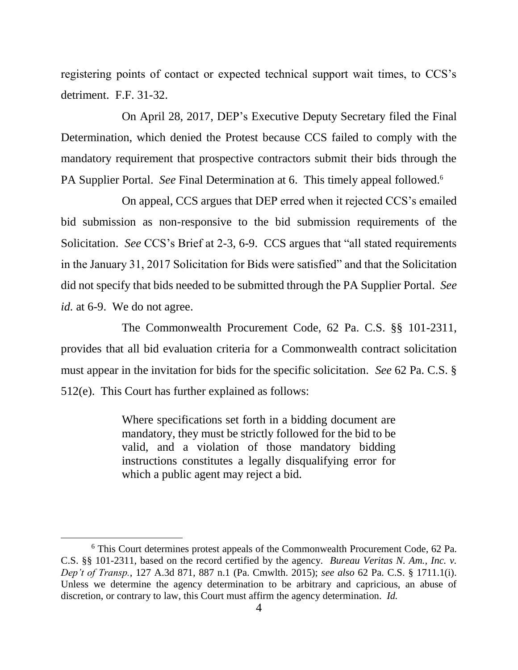registering points of contact or expected technical support wait times, to CCS's detriment. F.F. 31-32.

On April 28, 2017, DEP's Executive Deputy Secretary filed the Final Determination, which denied the Protest because CCS failed to comply with the mandatory requirement that prospective contractors submit their bids through the PA Supplier Portal. *See* Final Determination at 6. This timely appeal followed.<sup>6</sup>

On appeal, CCS argues that DEP erred when it rejected CCS's emailed bid submission as non-responsive to the bid submission requirements of the Solicitation. *See* CCS's Brief at 2-3, 6-9. CCS argues that "all stated requirements in the January 31, 2017 Solicitation for Bids were satisfied" and that the Solicitation did not specify that bids needed to be submitted through the PA Supplier Portal. *See id.* at 6-9. We do not agree.

The Commonwealth Procurement Code, 62 Pa. C.S. §§ 101-2311, provides that all bid evaluation criteria for a Commonwealth contract solicitation must appear in the invitation for bids for the specific solicitation. *See* 62 Pa. C.S. § 512(e). This Court has further explained as follows:

> Where specifications set forth in a bidding document are mandatory, they must be strictly followed for the bid to be valid, and a violation of those mandatory bidding instructions constitutes a legally disqualifying error for which a public agent may reject a bid.

<sup>6</sup> This Court determines protest appeals of the Commonwealth Procurement Code, 62 Pa. C.S. §§ 101-2311, based on the record certified by the agency. *Bureau Veritas N. Am., Inc. v. Dep't of Transp.*, 127 A.3d 871, 887 n.1 (Pa. Cmwlth. 2015); *see also* 62 Pa. C.S. § 1711.1(i). Unless we determine the agency determination to be arbitrary and capricious, an abuse of discretion, or contrary to law, this Court must affirm the agency determination. *Id.*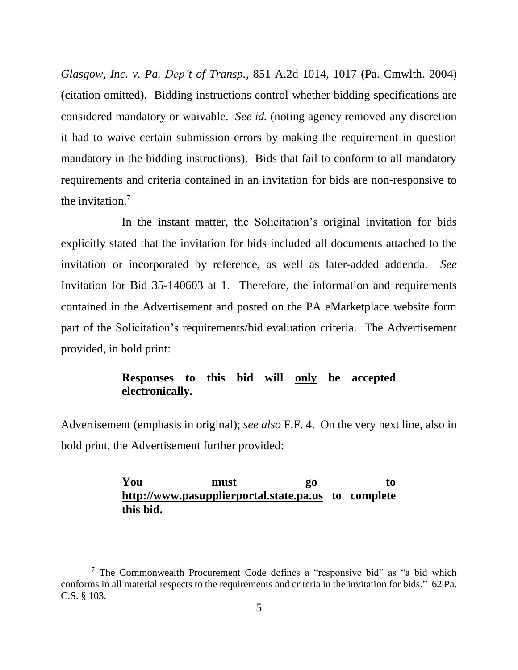*Glasgow, Inc. v. Pa. Dep't of Transp.*, 851 A.2d 1014, 1017 (Pa. Cmwlth. 2004) (citation omitted). Bidding instructions control whether bidding specifications are considered mandatory or waivable. *See id.* (noting agency removed any discretion it had to waive certain submission errors by making the requirement in question mandatory in the bidding instructions). Bids that fail to conform to all mandatory requirements and criteria contained in an invitation for bids are non-responsive to the invitation. 7

In the instant matter, the Solicitation's original invitation for bids explicitly stated that the invitation for bids included all documents attached to the invitation or incorporated by reference, as well as later-added addenda. *See* Invitation for Bid 35-140603 at 1. Therefore, the information and requirements contained in the Advertisement and posted on the PA eMarketplace website form part of the Solicitation's requirements/bid evaluation criteria. The Advertisement provided, in bold print:

#### **Responses to this bid will only be accepted electronically.**

Advertisement (emphasis in original); *see also* F.F. 4. On the very next line, also in bold print, the Advertisement further provided:

## **You must go to http://www.pasupplierportal.state.pa.us to complete this bid.**

l

<sup>7</sup> The Commonwealth Procurement Code defines a "responsive bid" as "a bid which conforms in all material respects to the requirements and criteria in the invitation for bids." 62 Pa. C.S. § 103.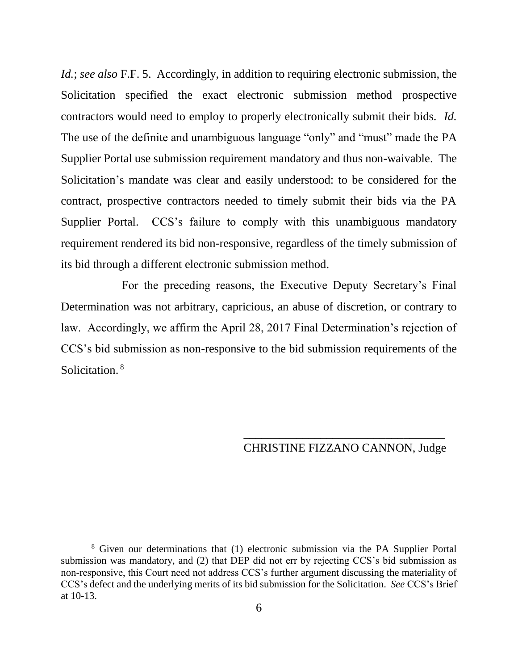*Id.*; *see also* F.F. 5. Accordingly, in addition to requiring electronic submission, the Solicitation specified the exact electronic submission method prospective contractors would need to employ to properly electronically submit their bids. *Id.* The use of the definite and unambiguous language "only" and "must" made the PA Supplier Portal use submission requirement mandatory and thus non-waivable. The Solicitation's mandate was clear and easily understood: to be considered for the contract, prospective contractors needed to timely submit their bids via the PA Supplier Portal. CCS's failure to comply with this unambiguous mandatory requirement rendered its bid non-responsive, regardless of the timely submission of its bid through a different electronic submission method.

For the preceding reasons, the Executive Deputy Secretary's Final Determination was not arbitrary, capricious, an abuse of discretion, or contrary to law. Accordingly, we affirm the April 28, 2017 Final Determination's rejection of CCS's bid submission as non-responsive to the bid submission requirements of the Solicitation.<sup>8</sup>

# \_\_\_\_\_\_\_\_\_\_\_\_\_\_\_\_\_\_\_\_\_\_\_\_\_\_\_\_\_\_\_\_\_\_ CHRISTINE FIZZANO CANNON, Judge

<sup>8</sup> Given our determinations that (1) electronic submission via the PA Supplier Portal submission was mandatory, and (2) that DEP did not err by rejecting CCS's bid submission as non-responsive, this Court need not address CCS's further argument discussing the materiality of CCS's defect and the underlying merits of its bid submission for the Solicitation. *See* CCS's Brief at 10-13.